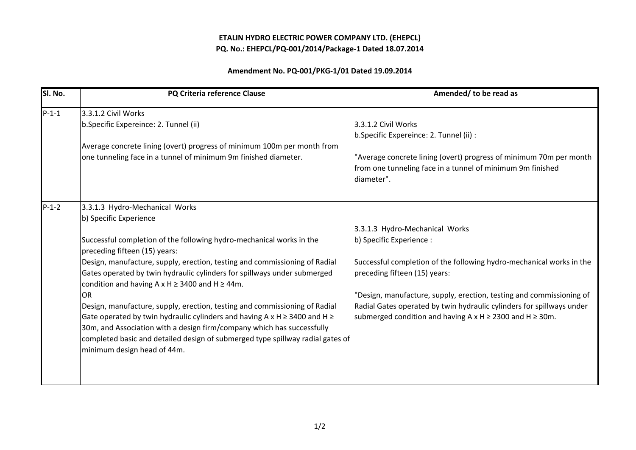## ETALIN HYDRO ELECTRIC POWER COMPANY LTD. (EHEPCL)PQ. No.: EHEPCL/PQ-001/2014/Package-1 Dated 18.07.2014

## Amendment No. PQ-001/PKG-1/01 Dated 19.09.2014

| Sl. No. | PQ Criteria reference Clause                                                        | Amended/ to be read as                                                |
|---------|-------------------------------------------------------------------------------------|-----------------------------------------------------------------------|
| $P-1-1$ | 3.3.1.2 Civil Works                                                                 |                                                                       |
|         | b.Specific Expereince: 2. Tunnel (ii)                                               | 3.3.1.2 Civil Works                                                   |
|         |                                                                                     | b.Specific Expereince: 2. Tunnel (ii) :                               |
|         | Average concrete lining (overt) progress of minimum 100m per month from             |                                                                       |
|         | one tunneling face in a tunnel of minimum 9m finished diameter.                     | "Average concrete lining (overt) progress of minimum 70m per month    |
|         |                                                                                     | from one tunneling face in a tunnel of minimum 9m finished            |
|         |                                                                                     | diameter".                                                            |
|         |                                                                                     |                                                                       |
| $P-1-2$ | 3.3.1.3 Hydro-Mechanical Works                                                      |                                                                       |
|         | b) Specific Experience                                                              |                                                                       |
|         |                                                                                     | 3.3.1.3 Hydro-Mechanical Works                                        |
|         | Successful completion of the following hydro-mechanical works in the                | b) Specific Experience :                                              |
|         | preceding fifteen (15) years:                                                       |                                                                       |
|         | Design, manufacture, supply, erection, testing and commissioning of Radial          | Successful completion of the following hydro-mechanical works in the  |
|         | Gates operated by twin hydraulic cylinders for spillways under submerged            | preceding fifteen (15) years:                                         |
|         | condition and having A $x$ H $\geq$ 3400 and H $\geq$ 44m.                          |                                                                       |
|         | OR                                                                                  | "Design, manufacture, supply, erection, testing and commissioning of  |
|         | Design, manufacture, supply, erection, testing and commissioning of Radial          | Radial Gates operated by twin hydraulic cylinders for spillways under |
|         | Gate operated by twin hydraulic cylinders and having A x H $\geq$ 3400 and H $\geq$ | submerged condition and having A x H $\geq$ 2300 and H $\geq$ 30m.    |
|         | 30m, and Association with a design firm/company which has successfully              |                                                                       |
|         | completed basic and detailed design of submerged type spillway radial gates of      |                                                                       |
|         | minimum design head of 44m.                                                         |                                                                       |
|         |                                                                                     |                                                                       |
|         |                                                                                     |                                                                       |
|         |                                                                                     |                                                                       |